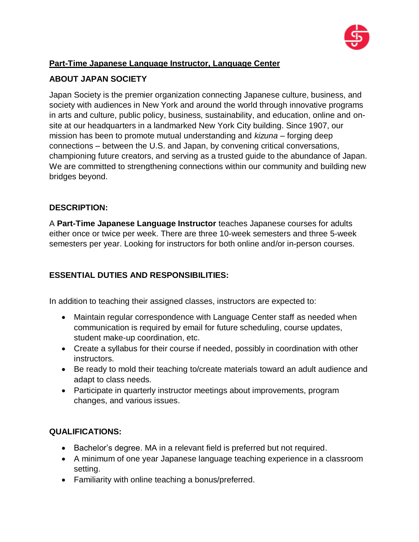

# **Part-Time Japanese Language Instructor, Language Center**

# **ABOUT JAPAN SOCIETY**

Japan Society is the premier organization connecting Japanese culture, business, and society with audiences in New York and around the world through innovative programs in arts and culture, public policy, business, sustainability, and education, online and onsite at our headquarters in a landmarked New York City building. Since 1907, our mission has been to promote mutual understanding and *kizuna* – forging deep connections – between the U.S. and Japan, by convening critical conversations, championing future creators, and serving as a trusted guide to the abundance of Japan. We are committed to strengthening connections within our community and building new bridges beyond.

### **DESCRIPTION:**

A **Part-Time Japanese Language Instructor** teaches Japanese courses for adults either once or twice per week. There are three 10-week semesters and three 5-week semesters per year. Looking for instructors for both online and/or in-person courses.

## **ESSENTIAL DUTIES AND RESPONSIBILITIES:**

In addition to teaching their assigned classes, instructors are expected to:

- Maintain regular correspondence with Language Center staff as needed when communication is required by email for future scheduling, course updates, student make-up coordination, etc.
- Create a syllabus for their course if needed, possibly in coordination with other instructors.
- Be ready to mold their teaching to/create materials toward an adult audience and adapt to class needs.
- Participate in quarterly instructor meetings about improvements, program changes, and various issues.

### **QUALIFICATIONS:**

- Bachelor's degree. MA in a relevant field is preferred but not required.
- A minimum of one year Japanese language teaching experience in a classroom setting.
- Familiarity with online teaching a bonus/preferred.